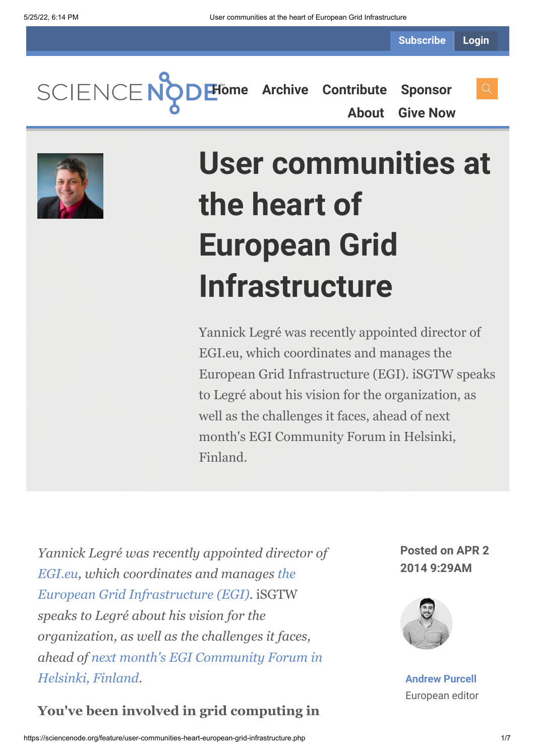**[Home](https://sciencenode.org/) [Archive](https://sciencenode.org/archive/index.php) [Contribute](https://sciencenode.org/contribute/index.php) [Sponsor](https://sciencenode.org/sponsor/index.php) [About](https://sciencenode.org/about/index.php) [Give Now](https://sciencenode.org/donate/index.php)**



# **User communities at the heart of European Grid Infrastructure**

Yannick Legré was recently appointed director of EGI.eu, which coordinates and manages the European Grid Infrastructure (EGI). iSGTW speaks to Legré about his vision for the organization, as well as the challenges it faces, ahead of next month's EGI Community Forum in Helsinki, Finland.

*Yannick Legré was recently appointed director of [EGI.eu](http://www.egi.eu/about/EGI.eu/)[, which coordinates and manages](http://www.egi.eu/) the European Grid Infrastructure (EGI).* iSGTW *speaks to Legré about his vision for the organization, as well as the challenges it faces, ahead of [next month's EGI Community Forum in](http://cf2014.egi.eu/) Helsinki, Finland.*

#### **You've been involved in grid computing in**

**Posted on APR 2 2014 9:29AM**



**[Andrew Purcell](https://sciencenode.org/author/andrew-purcell.php)** European editor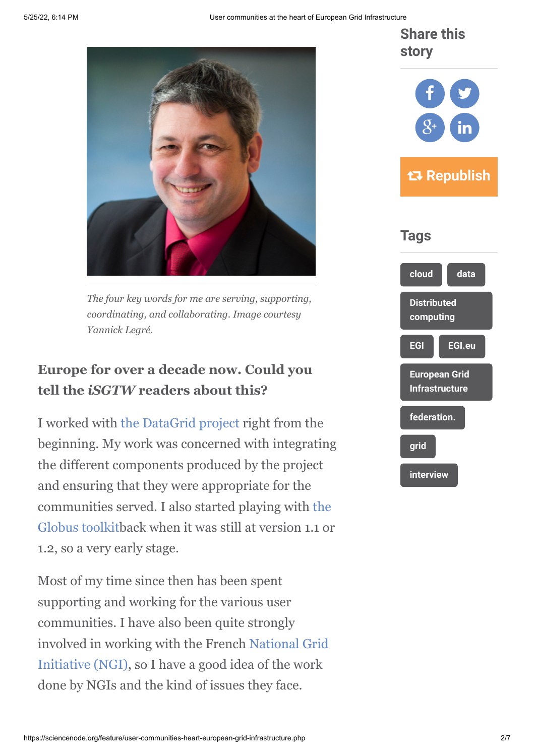**Share this story**



*The four key words for me are serving, supporting, coordinating, and collaborating. Image courtesy Yannick Legré.*

### **Europe for over a decade now. Could you tell the** *iSGTW* **readers about this?**

I worked with [the DataGrid project](http://eu-datagrid.web.cern.ch/eu-datagrid/) right from the beginning. My work was concerned with integrating the different components produced by the project and ensuring that they were appropriate for the [communities served. I also started playing with the](http://toolkit.globus.org/toolkit/) Globus toolkitback when it was still at version 1.1 or 1.2, so a very early stage.

Most of my time since then has been spent supporting and working for the various user communities. I have also been quite strongly [involved in working with the French National Grid](https://www.egi.eu/community/ngis/) Initiative (NGI), so I have a good idea of the work done by NGIs and the kind of issues they face.

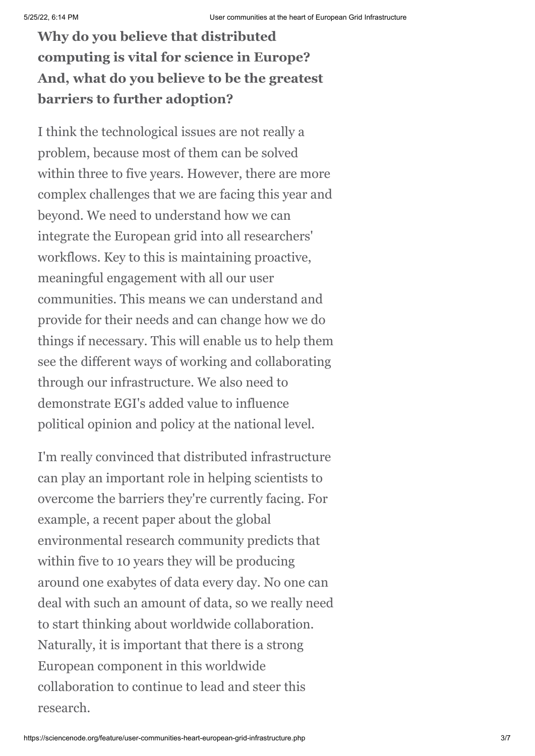## **Why do you believe that distributed computing is vital for science in Europe? And, what do you believe to be the greatest barriers to further adoption?**

I think the technological issues are not really a problem, because most of them can be solved within three to five years. However, there are more complex challenges that we are facing this year and beyond. We need to understand how we can integrate the European grid into all researchers' workflows. Key to this is maintaining proactive, meaningful engagement with all our user communities. This means we can understand and provide for their needs and can change how we do things if necessary. This will enable us to help them see the different ways of working and collaborating through our infrastructure. We also need to demonstrate EGI's added value to influence political opinion and policy at the national level.

I'm really convinced that distributed infrastructure can play an important role in helping scientists to overcome the barriers they're currently facing. For example, a recent paper about the global environmental research community predicts that within five to 10 years they will be producing around one exabytes of data every day. No one can deal with such an amount of data, so we really need to start thinking about worldwide collaboration. Naturally, it is important that there is a strong European component in this worldwide collaboration to continue to lead and steer this research.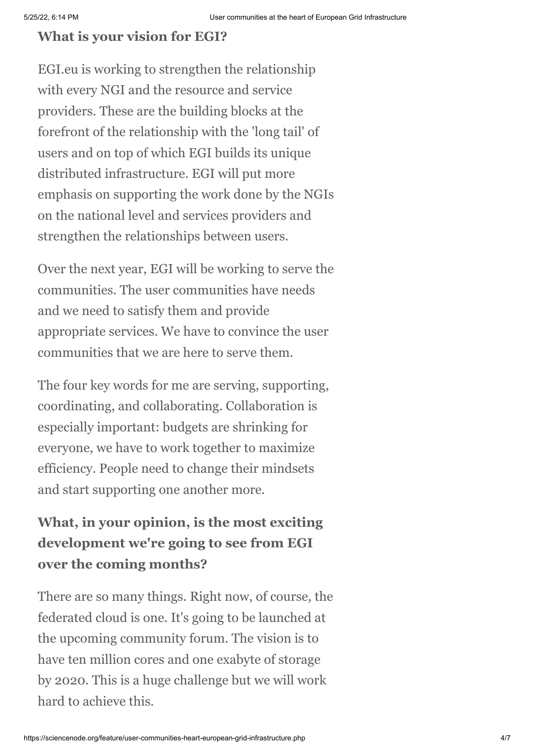#### **What is your vision for EGI?**

EGI.eu is working to strengthen the relationship with every NGI and the resource and service providers. These are the building blocks at the forefront of the relationship with the 'long tail' of users and on top of which EGI builds its unique distributed infrastructure. EGI will put more emphasis on supporting the work done by the NGIs on the national level and services providers and strengthen the relationships between users.

Over the next year, EGI will be working to serve the communities. The user communities have needs and we need to satisfy them and provide appropriate services. We have to convince the user communities that we are here to serve them.

The four key words for me are serving, supporting, coordinating, and collaborating. Collaboration is especially important: budgets are shrinking for everyone, we have to work together to maximize efficiency. People need to change their mindsets and start supporting one another more.

## **What, in your opinion, is the most exciting development we're going to see from EGI over the coming months?**

There are so many things. Right now, of course, the federated cloud is one. It's going to be launched at the upcoming community forum. The vision is to have ten million cores and one exabyte of storage by 2020. This is a huge challenge but we will work hard to achieve this.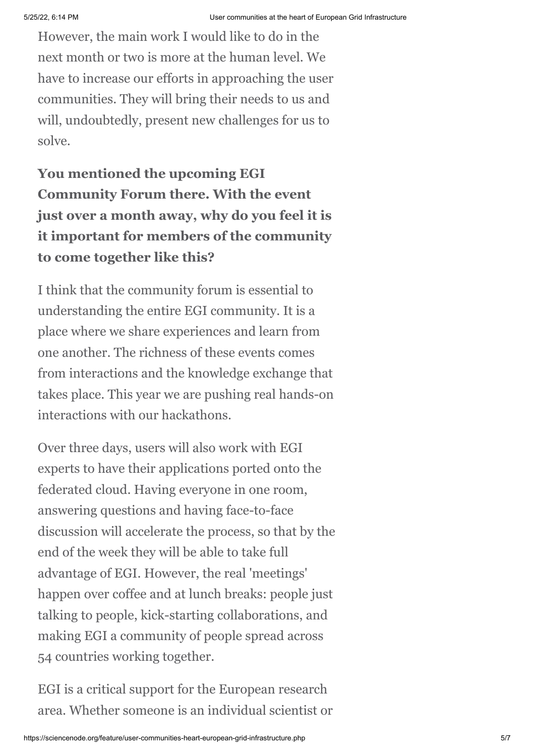However, the main work I would like to do in the next month or two is more at the human level. We have to increase our efforts in approaching the user communities. They will bring their needs to us and will, undoubtedly, present new challenges for us to solve.

**You mentioned the upcoming EGI Community Forum there. With the event just over a month away, why do you feel it is it important for members of the community to come together like this?**

I think that the community forum is essential to understanding the entire EGI community. It is a place where we share experiences and learn from one another. The richness of these events comes from interactions and the knowledge exchange that takes place. This year we are pushing real hands-on interactions with our hackathons.

Over three days, users will also work with EGI experts to have their applications ported onto the federated cloud. Having everyone in one room, answering questions and having face-to-face discussion will accelerate the process, so that by the end of the week they will be able to take full advantage of EGI. However, the real 'meetings' happen over coffee and at lunch breaks: people just talking to people, kick-starting collaborations, and making EGI a community of people spread across 54 countries working together.

EGI is a critical support for the European research area. Whether someone is an individual scientist or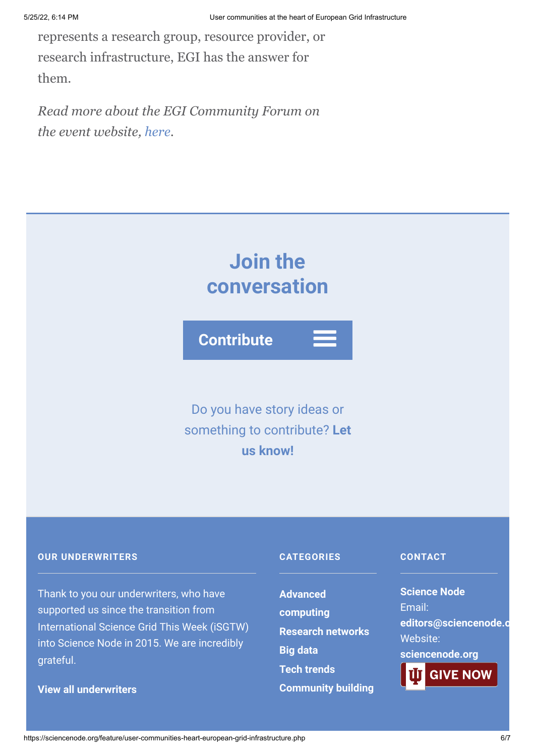represents a research group, resource provider, or research infrastructure, EGI has the answer for them.

*Read more about the EGI Community Forum on the event website, [here.](http://cf2014.egi.eu/)*